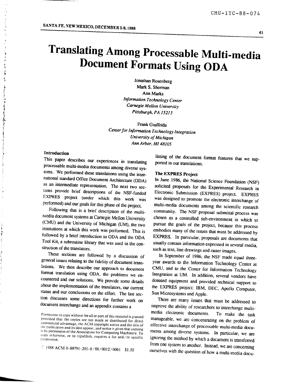# **Translating Among Processable Multi-media Document Formats Using ODA**

Jonathan Rosenberg Mark S. Sherman Ann Marks Information Technology Center Carnegie Mellon University Pittsburgh, PA 15213

Frank Giuffrida Center for Information Technology Integration University of Michigan Ann Arbor, MI 48105

## Introduction

This paper describes our experiences in translating processable multi-media documents among diverse systems. We performed these translations using the international standard Office Document Architecture (ODA) as an intermediate representation. The next two sections provide brief descriptions of the NSF-funded EXPRES project (under which this work was performed) and our goals for this phase of the project.

Following that is a brief description of the multimedia document systems at Carnegie Mellon University (CMU) and the University of Michigan (UM), the two institutions at which this work was performed. This is followed by a brief introduction to ODA and the ODA Tool Kit, a subroutine library that was used in the construction of the translators.

These sections are followed by a discussion of general issues relating to the fidelity of document translations. We then describe our approach to document format translation using ODA, the problems we encountered and our solutions. We provide some details about the implementation of the translators, our current status and our conclusions on the effort. The last section discusses some directions for further work on document interchange and an appendix contains a

2 1988 ACM 0-89791-291-8/88/0012/0061 \$1.50

listing of the document format features that we supported in our translations.

## **The EXPRES Project**

In June 1986, the National Science Foundation (NSF) solicited proposals for the Experimental Research in Electronic Submission (EXPRES) project. EXPRES was designed to promote the electronic interchange of multi-media documents among the scientific research community. The NSF proposal submittal process was chosen as a controlled sub-environment in which to pursue the goals of the project, because this process embodies many of the issues that must be addressed by EXPRES. In particular, proposals are documents that usually contain information expressed in several media, such as text, line drawings and raster images.

In September of 1986, the NSF made equal threeyear awards to the Information Technology Center at CMU, and to the Center for Information Technology Integration at UM. In addition, several vendors have donated equipment and provided technical support to the EXPRES project: IBM, DEC, Apollo Computer, Sun Microsystems and Apple.

There are many issues that must be addressed to improve the ability of researchers to interchange multimedia electronic documents. To make the task manageable, we are concentrating on the problem of effective interchange of processable multi-media documents among diverse systems. In particular, we are ignoring the method by which a document is transferred from one system to another. Instead, we are concerning ourselves with the question of how a multi-media docu-

Permission to copy without fee all or part of this material is granted provided that the copies are not made or distributed for direct commercial advantage, the ACM copyright notice and the title of the publication and its date appear, and notice is given that copying is by permission of the Association for Computing Machinery. To copy otherwise, or to republish, requires a fee and/or specific permission.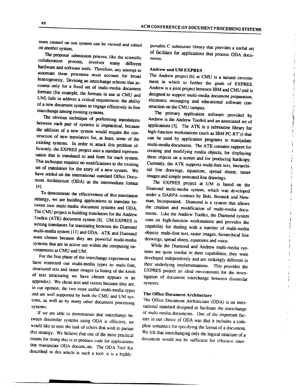ment created on one system can be viewed and edited

*T*he **prop**osal *s*ubmission **p**rocess, like the scientific ments. collaboration process, involves many different hardware and software t**o**ols. Theref**o**re, any attem**p**t to **And**r**ew and** *U***M** EX**PR**E**S** automate these processes must account for broad The Andrew project [6] at CMU is a natural environheterogeneity. Devising an interchange scheme that ac-<br>counts only for a fixed set of multi-media document formats (**f**or exam**p**le, the formats in use at CMU and desig**n**ed to support multi-media docume**n**t pre**p**aration, UM) fails to address a critical requirement: the ability electronic messaging and educational software con**of a n**e**w** document **sys**tem to e**n**gage **e**f**f**e**c**ti**vdy** i**n f**ree structi**o**n **on** the **C**MU cam**pus.** The **p**rimary a**pp**lication software provided by i**n**terc**h**ange **a**m**ong** exi**stin**g **s**y**s**te**ms.**

tation that is translated to and from for each system, these objects on a screen and for **p**rod**u**cing h**a**rdcopy. set of translators for the entry of a new system. We cal line drawings, equations, spread sheets, raster have settled on the international standard Office Docu- images and simple animated line drawings. ment Architecture (ODA) as the intermediate format *The EXPRES* project at UM is based on the

writing translators for translating between the Diamond capability for dealing with a number of multi-media mul**ti**-media system [11] and ODA. ATK and Diamond objects: multi-font text, raster images, hierarchical line **w**e**r**e ch**o**se**n** because the**y** are po**w**e**r**fu**l** multi-media drawings, **sp**read sheets, equati**o**ns an**d** v**o**ice. systems that are in active use within the computing en-

have restricted our multi-media types to multi-font, their underlying implementations. This provides the structured text and raster images (a listing of the kinds EXPRES project an ideal environment for the inveso**f** text stru**c**turing we have chosen appears in an tigation of document interchange between dissimilar ap**p**endix). We chose text and rasters because t**h**ey are, systems. in our opinion, the two most useful multi-media types and are well supported by both the CMU and UM and TRA and TRA **TRA** and are well supported by both the CMU and UM sys-<br>tems, as well as by many other document processing tems, as well as by many other document processing The Office Document Architecture (ODA) is an inter-<br>systems.

would like to ease the task of others that wish to pursue this strategy. We believe that one of the most practical means for doing this is to produce code for applications that manipulate OD**A** docume**n**ts. The ODA Tool Kit described in this article is such a tool: it is a highly-

on another system,<br>on another system,<br> $\frac{1}{2}$  and  $\frac{1}{2}$  contract the applications that **process** ODA docu-<br>The approaching the contract the contract of facilities for applications that **process** ODA docu-

 $\frac{1}{2}$ 

.<br>م

 $\frac{1}{2}$ 

**counter for counter for counter a f** *f* **EXPRES**. Andrew is a joint project between IBM and CMU and is

Interchange among existing systems.<br>The primary application software provided by<br>The obvious technique of performing translations Andrew is the Andrew Toolkit and an associated set of between each pair of systems is impractical, because applications [3]. The ATK is a subroutine library for the addi**ti**on of a new system would require the **c**on- high-f**u**nc**ti**on workstations (such as IBM PC-R*T*'s) that struction of new translators for, at least, some of the can be used by application programs to manipulate existing systems. In order to attack this problem ef-<br>multi-media documents. The ATK contains support for ficiently, the EXPRES project uses a standard represen- creating and modifying media objects, for displaying This technique requires no modifications to the existing *Currently, the ATK supports multi-font text, hierarchi-*

[4]. Diamond mul**ti**-media system, which was de**v**eloped To demonstrate the effectiveness of this translation under a DARPA contract by Bolt, Beranek and Newstrategy, we are building applications to translate be- man, Incorporated. Diamond is a system that allows tween two multi-media document systems and ODA. the creation and modification of multi-media docu-The CMU **p**roject is building translators for the Andrew ments. Like the Andrew Toolkit, the *D*iamond system Toolkit (*A*TK) document system [8]. UM EXPRES is runs on high-func**ti**on workstations and provides the

systems that are in active use within the computing en-<br>vironments at CMU and UM. tems are quite similar in their capabilities, they were For the first phase of the interchange experiment we developed independently and are strikingly different in

stems.<br>If we are able to demonstrate that interchange be-<br>If we are able to demonstrate that interchange be-<br>of multi-media documents. One of the important fac-If we are able to demonstrate that interchange be-<br>tween dissimilar systems using ODA is effective, we tors in our choice of ODA was that it includes a comtors in our choice of ODA was that it includes a complete semantics for specifying the layout of a document. We felt that interchanging only the logical structure of a document would not be sufficient for effective inter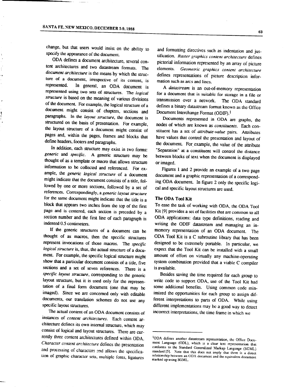change, but that users w**o**uld insist on the ability to and formatting directives such as in**d**entation and jus-

document architecture is the means by which the struc-<br>defines representations of picture description inforture **of** a doc**u**ment, irrespective **o**f its c**o**ntent, is mari**o**n such as arcs an**d** lines**.** represented. In general, an ODA document is *A datastream* is an out-of-memory representation represented using two sets o**f** s**t**ructures. The *logical* for a document that is suitable for storage in a file or *structure* is based on the meaning of various divisions transmission over a network. The ODA standard *"* o**f** the document. For exam**p**le, the logical structure of a defines a binary datastream format known as the Office document might consist of chapters, sections and Document Interchange Format (ODIF).<sup>1</sup> paragra**p**hs. In the *layout structur*e, the document is Documents represented in ODA are graphs, the

thought of as a tem**p**late or macro that allows structure or imaged. in**fo**rmation t**o** be c**o**llected an**d** reference**d**. For ex- Figures **1** an**d** 2 provi**d**e an example of a tw**o** page might indicate that the document consists of a title, fol- ing ODA document. In figure 2 only the specific logilowed by one or more sections, followed by a set of cal and specific layout structures are used. references. *C*orres**p**ondingly, a *generic layou*t st*r*uc*ture* for the same document might indicate that the title is a Th**e** O**D**A Tool Kit block that appears two inches from the top of the first To ease the task of working with ODA, the ODA Tool

*logical structure* is, thus, the actual structure of a docu-<br>
expect that the Tool Kit can be installed with a small ment. For example, the specific logical structure might amount of effort on virtually any machine-operating show that a particular document consists of a title, five system combination provided that a viable C compiler sections and a set of seven references. There is a is available. *specific layout structure*, corresponding to the generic Besides saving the time required for each group to documents, our translation schemes do not use any ferent interpretations to parts of ODA. While using

instances of *co*n*te*n*t architectures*. Each content architecture defines its own internal structure, which may consist of logical and layout structures. There are cury three content architectures defined within ODA. <sup>1</sup>ODA defines another datastream representation, the Office Docuand processing of characters and allows the specification of graphic character sets, multiple fonts, ligatures marked up using SGML.

specify the appearance of the document.<br>tification. *Raster graphics content* architecture defines ODA defines a document architecture, several con-<br>pictorial information represented by an array of picture tent arc**h**itectures and two datas**t**ream formats. The elements. *Geometric graphics content architecture*

structured on the basis of presentation. For example, nodes of which are known as *constituents*. Each conthe layout structure of a document might consist of stituent has a set of *attribute*-*value* pairs. Attributes pages and, within the **p**ages, frames and blocks that have values that control the presentation and layout of define headers, footers and paragraphs. the document. For example, the value of the attribute In addition, each structure may exist in two forms: "Separation" at a constituent will control the distance *generic* and *specific*. A generic structure may be between blocks of text when the document is dis**p**layed

am**p**le, the *generic logical structure* of a **d**ocument document an**d** a gra**p**hic representation of a correspon**d**-

page and is centered, each section is preceded by  $\alpha$  Kit [9] provides a set of facilities that are common to all section number and the first line of each paragraph is ODA applications: data type definitions, reading and indented 0.5 centimeters. writing the ODIF datastream and managing an in-If the generic structures of a document can be memory representation of an O*DA* document. The thought of as macros, then the s**p**ecific structures OD*A* Tool Kit is a C subroutine library that has been represent invocations of those macros. The *specific* designed to be extremely portable. In particular, we

layout structure, but it is used only for the represen-<br>write code to support ODA, use of the Tool Kit had tation of a final form document (one that may be some additional benefits. Using common code minimaged). Since we are concerned only with editable imized the opportunities for each group to assign difspecific layout structures. The contractions of the different implementations may be a good way to detect The actual content of an ODA document consists of incorrect interpretations, the time frame in which we

*Character content architecture* defines the presentation conforms to the Standard Generalized Markup Language (SGML) standard [5]. Note that this does not imply that there is a direct relationship between an ODA document and the equivalent document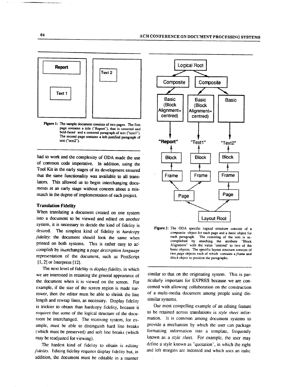

Figure 1: The sample document consists of two pages. The first page contains a title ("Report"), that is centered and bold-faced and a centered paragraph of text ("text1"). The second page contains a left-justified paragraph of text ("text2").

had to work and the complexity of ODA made the use of common code imperative. In addition, using the Tool Kit in the early stages of its development ensured that the same functionality was available to all translators. This allowed us to begin interchanging documents at an early stage without concern about a mismatch in the degree of implementation of each project.

## **Translation Fidelity**

When translating a document created on one system into a document to be viewed and edited on another system, it is necessary to decide the kind of fidelity is desired. The simplest kind of fidelity is hardcopy fidelity: the document should look the same when printed on both systems. This is rather easy to accomplish by interchanging a page description language representation of the document, such as PostScript  $[1, 2]$  or Interpress  $[12]$ .

The next level of fidelity is *display fidelity*, in which we are interested in retaining the general appearance of the document when it is viewed on the screen. For example, if the size of the screen region is made narrower, then the editor must be able to shrink the line length and rewrap lines, as necessary. Display fidelity is trickier to obtain than hardcopy fidelity, because it requires that some of the logical structure of the document be interchanged. The receiving system, for example, must be able to distinguish hard line breaks (which must be preserved) and soft line breaks (which may be readjusted for viewing).

The hardest kind of fidelity to obtain is editing fidelity. Editing fidelity requires display fidelity but, in addition, the document must be editable in a manner



Figure 2: The ODA specific logical structure consists of a composite object for each page and a basic object for each paragraph. The centering of the text is accomplished by attaching the attribute "Block Alignment" with the value 'centred' to two of the basic objects. The specific layout structure consists of two page objects each of which contains a frame and block object to position the paragraphs.

similar to that on the originating system. This is particularly important for EXPRES because we are concerned with allowing collaboration on the construction of a multi-media document among people using dissimilar systems.

Our most compelling example of an editing feature to be retained across translations is style sheet information. It is common among document systems to provide a mechanism by which the user can package formatting information into a template, frequently known as a *style sheet*. For example, the user may define a style known as "quotation", in which the right and left margins are indented and which uses an italic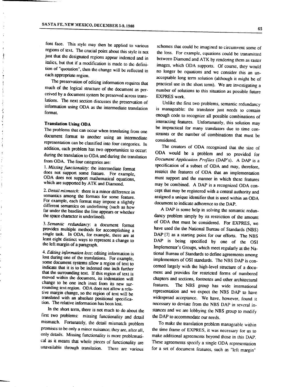font face**.** This style m**a**y then be **a**p**pl**ie**d** t**o** va**r**i**o**us schemes that c**o**ul**d** be im**a**gine**d** to circumvent some of

ceived by a **d**ocument system be **p**reserved across trans- EXPRES work. lations. The next section discusses the **p**reservation of Unlike the first two problems, semantic redundancy

 $\mathbf{I}$ 

きょうしょう

document format to another using **a**n intermediate considered. i re**p**resentation can be classified into f**o**ur cat**e**g**o**ries**.** In The creators **o**f **O**D**A** recognized that the size of

For example, each format may impose a slightly document to indicate adherence to the DAP. different semantics on underlining (such as how A DAP is some help in solving the semantic redun-<br>far under the baseline the line appears or whather A DAP is some help in solving the semantic redunfar un**d**er the bas**e**line the line **ap**pears or whether

**p**rovides multiple methods for ac**c**omplishing a

*,* indicat**e** that it is to be indented one inch fu**rt**her tive margin change, so the region of text will be translated with an absolute positional specifica-

first two problems: missing functionality and detail the DAP to accommodate our needs. mismatch. Fortunately, the detail mismatch problem *T*o make the translation problem manageable within

regions **o**f tex**L** The crucial point about this style is not the loss**.** For example, equations coul**d** be transmitted ! just th**a**t the designat**e**d regions **ap**pear indented and in between *D*iamond and **A**TK by rendering them as raster italics, but that if a modification is made to the defini- images, which ODA supports. Of course, they would tion of "quotation", then the change will be reflected in no longer be equations and we consider this an uneach appropriate region.<br>acceptable long term solution (although it might be of<br>The preservation of editing information requires that<br>mactical use in the short term). We are investigating a practical use in the short term). We are investigating a , **m**uch **of** t**he** l**o**gical structure o**f** the doc**u**ment as per- number o**f** s**o**lutions to this sit**u**atio**n a**s possible future

information using ODA as the intermediate translation is manageable: the translator just needs to contain format, enough code to recognize all possible combinations of **Translation Using ODA interacting features.** Unfortunately, this solution may **Tran**s**lation Using ODA** be im**p**ractical **f**o**r** many translat**o**rs due to time con-The problems that can occur when translating from one straints or the number of combinations that must be<br>document formed to see the number of combinations that must be

additi**o**n, eac**h pr**oblem h**a**s tw**o o**ppor**t**unities t**o** occur: O**D**A w**o**uld be a pr**o**blem and so pr**o**vided for during the translation to ODA and during the translation *Document Application Profiles* (DAP's). A DAP is a from ODA. The four categories are: from the four categories are: subset of ODA and may, therefore, specification of a subset of ODA and may, therefore, does not support some feature. For example,<br>
ODA does not support mathematical equations. Must support and the manner in which these features ODA does not support mathematical equations, must support and the manner in which these features which are supported by ATK and Diamond may be combined. A DAP is a recognized ODA conmay be combined. A DAP is a recognized ODA con-2. *Detail mismatch*: there is a minor difference in ce**p**t that may be registered with a central authority and semantics **a**mong the formats for some feature, **a**ssigned a unique identifier that is used within an ODA

the space character is underlined). dancy problem simply by its restriction of the amount of ODA that must be considered. For EXPRES, we 3. *Semantic redundancy*: a document format that the *SECO* was must be considered. For EAPKE5, we have used the the National Bureau of Standards (NBS) single task. In ODA, for example, there are at DAP [7] as a starting point for our efforts. The NBS least eight distinct ways to represent a change to DAP is being specified by one of the OSI<br>the left margin of a paragraph. Implementor's Groups, which meet regularly at the Na-4.*Editing infor*ma*tion loss*: editing information is tional Bureau of Standards to define agreements among lost during one of the translations. For example, implementors of OSI standards. The NBS DAP is consome document systems allow a region of text to cerned largely with the high-level structure of a docu-<br>indicate that it is to be indepted one inch further. that the surrounding text. If this region of text is ment and provides for restricted forms of numbered moved within the document, its indentation will chapters and sections, footnotes and other architectural chapters and sections, footnotes and other architectural change to be one inch inset from its new sur-<br>resulting that set region CD to be a sur-<br>counting that set region CD to be a surrounding text region. ODA does not allow a rela-<br>tive margin change so the region of text will be representation and we expect the NBS DAP to have widespread acceptance. We have, however, found it tion. The relative information has been lost. ne**c**essary to deviate from the NBS DAP in several in-In the short term, there is not much to do about the stances and we are lobbying the NBS group to modify

promises to be only a minor nuisance; they are, after all, the time frame of EXPRES, it was necessary for us to only details. Missing functionality is more problemati-<br>make additional agreements beyond those in this DAP. cal as it means that whole pieces of functionality are These agreements specify a single ODA representation unavailable through translation. There are various for a set of document features, such as "left margin"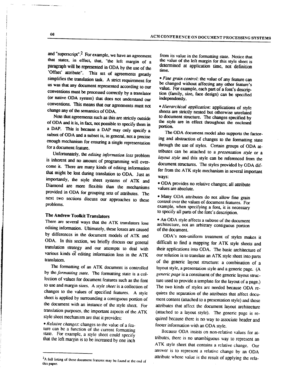and "superscript".<sup>2</sup> For example, we have an agreement that states, in effect, that, "the left margin of a paragraph will be represented in ODA by the use of the 'Offset' attribute". This set of agreements greatly simplifies the translation task. A strict requirement for us was that any document represented according to our conventions must be processed correctly by a translator (or native ODA system) that does not understand our conventions. This means that our agreements must not change any of the semantics of ODA.

Note that agreements such as this are strictly outside of ODA and it is, in fact, not possible to specify them in a DAP. This is because a DAP may only specify a subset of ODA and a subset is, in general, not a precise enough mechanism for ensuring a single representation for a document feature.

Unfortunately, the editing information loss problem is inherent and no amount of programming will overcome it. There are many kinds of editing information that might be lost during translation to ODA. Just as importantly, the style sheet systems of ATK and Diamond are more flexible than the mechanisms provided in ODA for grouping sets of attributes. The next two sections discuss our approaches to these problems.

# The Andrew Toolkit Translators

There are several ways that the ATK translators lose editing information. Ultimately, these losses are caused by differences in the document models of ATK and ODA. In this section, we briefly discuss our general translation strategy and our attempts to deal with various kinds of editing information loss in the ATK translators.

The formatting of an ATK document is controlled by the formatting state. The formatting state is a collection of values for document features such as the font to use and margin sizes. A style sheet is a collection of changes to the values of specified features. A style sheet is applied by surrounding a contiguous portion of the document with an instance of the style sheet. For translation purposes, the important aspects of the ATK style sheet mechanism are that it provides:

• Relative changes: changes to the value of a feature can be a function of the current formatting state. For example, a style sheet could specify that the left margin is to be increased by one inch

from its value in the formatting state. Notice that the value of the left margin for this style sheet is determined at application time, not definition time.

• Fine grain control: the value of any feature can be changed without affecting any other feature's value. For example, each part of a font's description (family, size, face design) can be specified independently.

• Hierarchical application: applications of style sheets are strictly nested but otherwise unrelated to document structure. The changes specified by the style are in effect throughout the enclosed portion.

The ODA document model also supports the factoring and abstraction of changes to the formatting state through the use of styles. Certain groups of ODA attributes can be attached to a presentation style or a layout style and this style can be referenced from the document structures. The styles provided by ODA differ from the ATK style mechanism in several important ways:

· ODA provides no relative changes; all attribute values are absolute.

· Many ODA attributes do not allow fine grain control over the values of document features. For example, when specifying a font, it is necessary to specify all parts of the font's description.

• An ODA style affects a subtree of the document architecture, not an arbitrary contiguous portion of the document.

ODA's non-uniform treatment of styles makes it difficult to find a mapping for ATK style sheets and their applications into ODA. The basic architecture of our solution is to translate an ATK style sheet into parts of the generic layout structure: a combination of a layout style, a presentation style and a generic page. (A generic page is a constituent of the generic layout structure used to provide a template for the layout of a page.) The two kinds of styles are needed because ODA requires the separation of the attributes that affect document content (attached to a presentation style) and those attributes that affect the document layout architecture (attached to a layout style). The generic page is required because there is no way to associate header and footer information with an ODA style.

Because ODA insists on non-relative values for attributes, there is no unambiguous way to represent an ATK style sheet that contains a relative change. Our answer is to represent a relative change by an ODA attribute whose value is the result of applying the rela-

<sup>&</sup>lt;sup>2</sup>A full listing of these document features may be found at the end of this paper.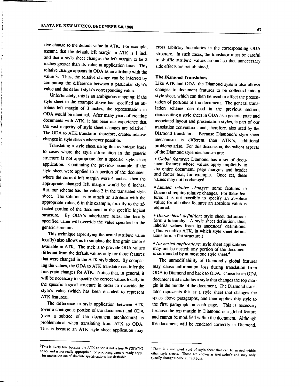tire change to the default value in ATK. For example, cross arbitrary boundaries in the corresp**o**nding ODA inches greater than its value at application time. *T*his side effects **a**re not obtained. relative change **ap**pear**s** i**n** O**D**A as a**n a**ttribute with the v**alu**e 3. **Thus**, the re**la**tive c**han**ge **can** be in**f**er**r**e**d** by **The Dia**m**ond Translators** computing the difference between a particular style's Like ATK and ODA, the Diamond system also allows

i t**o** cases whe**r**e the st**y**le inf**o**rm**a**ti**o**n in the gene**ri**c of the **D**iamond style mechanism are: **,** structure is not **ap**pr**op**ria**t**e f**o**r a speci**fi**c style sheet **\*** *Global features*: Diam**o**nd has a set **o**f docu application. Continuing the previous example, if the ment features whose values apply implicitly to style sheet were applied to a portion of the decurrent: the entire document: page margins and header style sheet were applied to a portion of the document and footer text, for example. Once set, these where the current left margin were 4 inches, then the values may not be changed. i a**ppropri**ate changed le**f**t margin w**o**uld be 6 inches**, \*** *Limited relative changes*: some **f**eatures in But, our scheme has the value 3 in the translated style Diamond require relative changes. For these feasheet. The solution is to attach an attribute with the tures it is not possible to specify an absolute appropriate value, 6 in this example, directly to the af-<br>fected portion of the document in the appelled to the required. feeted portion of the document in the specific logical structure. By ODA's inheritance rules, the locally • *Hierarchical definition*: style sheet definitions specified value will override the value specified in the solution of the style sheet definition, thus, specified value will override the value specified in the inherits values from its ancestors' definitions.

This technique (specifying the actual attribute value tions form a flat structure.) locally) also allows us to simulate the fine grain cont**r**ol *• No nested applications*: style sheet applica**ti**ons available in ATK. The trick is to provide ODA values may not be nested: any portion of the document different from the default values only for those features is surrounded by at most one style sheet.<sup>4</sup> that were changed in the ATK style sheet. By comp**a**r- The unmodifiability of Diamond's global features

problematical when translating from ATK to ODA. the document will be rendered correctly in Diamond, This is because an ATK style sheet application may

assume that the default left margin in ATK is 1 inch structure. In such cases, the translator must be careful and that a style sheet changes the left margin to be 2 to shuffle attribute values around so that unnecessary

value and the default style's corresponding value. Changes to document features to be collected into a Unfortunately, this is an ambiguous mapping: if the style sheet, which can then be used to affect the presenstyle sheet in the example above had specified an ab-<br>tation of portions of the document. The general transsolute left margin of 3 inches, the representation in lation scheme described in the previous section, '\*' O**DA w**o**uld** be i**d**entical. **A**fte**r** man**y** years of creating re**p**resenting a style sheet in O**D***A* a**s** a generic **p**age and documents with *A*TK, it has been our experience that **a**ssociated layout and presentation styles, is p**a**rt of our the **v**ast majorit**y** of s**ty**le sheet changes are **r**elative.3 translation conventions and, therefore, also used by the i The O**DA** to **A**TK tr**a**nslato**r**, therefore, creates relative Diamond translators. Because Diamond's style sheet c**h**anges in style **sh**eets **w**henever possible, mechanism is different than **A**TK's, additional <sup>i</sup> **<sup>p</sup>**roblems arise. For this discussion, **<sup>t</sup>**he salient aspects ! Tr**an**sla**ti**n**<sup>g</sup> <sup>a</sup>** <sup>s</sup>**ty**le shee**<sup>t</sup> <sup>u</sup>**sing this technique lea**d**<sup>s</sup>

ment features wh**o**se v**a**lues appl**y** implicitl**y** to

generic structure.<br>
This is unlike ATK, in which style sheet defini-<br>
This is unlike ATK, in which style sheet defini-

ing the values, the OD*A* to ATK translator can infer the may cause information loss during tr**a**nsla**ti**on from fine grain changes for ATK. Notice that, in general, it ODA to Diamond and back to ODA. Consider an ODA will be necessary to specify the correct values locally in document that includes a style that changes the top marthe specific logical structure in order to override the gin in the middle of the document. The Diamond transstyle's value (which has been encoded to represent lator represents this as a style sheet that changes the **A**TK features**)**, space above p**a**ragra**p**hs, **a**nd then app**l**ies this st**y**le t**o** The difference in style application between ATK the first paragraph on each page. This is necessary (over a contiguous portion of the document) and ODA because the top margin in **D**iamond is a global feature (over a subtree of the document architecture) is and cannot be modified within the document. Although

<sup>&</sup>lt;sup>3</sup>This is likely true because the ATK editor is not a true WYSIWYG  $\frac{4}{1}$  There is a restricted kind of style sheet that can be nested within **This** makes the use of absolute specifications less desirable. specify changes to the current font.

editor and is not really appropriate for producing camera-ready copy. other style sheets. These are known as font delta's and may only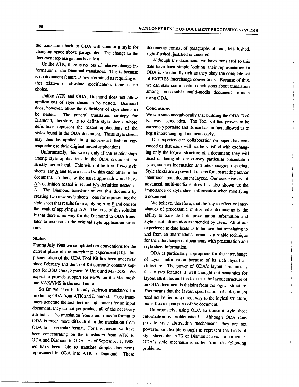the transla**ti**o**n** back to ODA wi**l**l **c**ontai**n** a **s**tyle for **d**oc**u**me**n**ts consi**s**t **o**f **p**aragr**ap**hs o**f** text, left**-**flushed, changing space above **p**aragraphs. The change to the right-**fl**ushed, jus**ti**fied or centered. document top margin has been lost.<br>**Although the documents we have translated to this** 

each document feature is predetermined as requiring ei-<br>of EXPRES interchange conventions. Because of this,

Unlike *A*TK and ODA, Diamond does not allow usin**g** ODA. a**ppli**ca**ti**ons of style sheets to be nested. **D**iamond **Conclusions** doe**s**, **ho**we**ver**, al**low** the <sup>d</sup>**e**finiti**o**ns **<sup>o</sup>**<sup>f</sup> st**y**le sheets to be **n**ested**.** The ge**n**eral tran**sla**ti**on s**trateg**y for** We ca**n s**tate u**n**equivocal**l**y th**at b**uildi**n**g the O**DA** Too**l** Diamond, therefore, is to define style sheets whose Kit was a good idea. The Tool Kit has proven to be definitions **r**e**p**resent the nested ap**p**lications of the extremely por**t**able and i**t**s use has, in fact, allowed us to styles found in the ODA document. These style sheets begin interchanging documents early. may then be applied in a non-nested fashion cor-<br>responding to their original nested applications.<br>winced us that users will not be satisfied with exchang-

creating two new style sheets: one for representing the a document. style sheet that results from applying A to B and one for We believe, therefore, that the key to effective inter-

During July 1988 we completed our conventions for the style sheet information. **c**urrent phase of the interchange expe**ri**ment [10]. Im- ODA is par**ti**cularly approp**ri**ate for the interchange

lators generate the architecture and content for an input but is free to span parts of the document. document; they do not yet produce all of the necessary Unfortunately, using OD*A* to transmit style sheet we have been able to translate simple documents problems: represented in ODA into *A*TK or Diamond. These

Unlike ATK, there is no loss of relative change in- date have been sim**p**le looking, their re**p**resentation in formation in the Diamon**d** trans**la**tors. *T*his is bec**a**use O*D*A is structurally rich as they obey the complete set ther relative or absolute specification, there is no we can state some useful con**c**lusions about **t**rans**lati**on ch**o**ice, am**on**g processable **mu**lti-**m**edia **d**ocument **fo**rmats

 $r$  vinced us that users will not be satisfied with exchang-Unfortunately, this works only if the relationships ing only the logical structure of a document; they will among style applications in the ODA document are insist on being able to convey particular presentation strictly hierarchical. This will not be true if two style syles, such as indentation and inter-paragraph spacing. sheets, say A and B, are nested within each other in the Style sheets are a powerful means for abstracting author document. In this case the naive approach would have intentions about document layout. Our extensive use of  $\overline{A}$ 's definition nested in B and B's definition nested in advanced multi-media editors has also shown us the  $\underline{A}$ . The Diamond translator solves this dilemma by importance of style sheet information when modifying

the result of applying **B** to A. The price of this solution change of processable multi-media documents is the is that there is no way for the Diamond to ODA trans- ability to translate both presentation in**f**ormation and lator to reconstruct the original style application struc-<br>style sheet information as intended by users. All of our ture**.** experience to date leads us to be**l**ieve that t*r*anslating to and from an intermediate format is a viable technique **Status for the interchange of documents with presentation and** 

**p**lementa**ti**on of the ODA Tool Kit has been underway of layout information because of its rich layout arsince February and the Tool Kit currently contains sup- chitecture. The power of O*D*A's layout structures is port for BSD Unix, System V Unix and MS-DOS. We due to two features: a well thought out seman**ti**cs for expect to provide support for MPW on the Macintosh layout attributes and the fact that the layout structure o**f** and VAX*/*VMS **i**n th**e** near **f**uture, an **O**DA **d**ocument is **d**isjoint **f**rom the l**o**gical structure. So far we have built only skeleton translators for This means that the layout specification of a document producing ODA from ATK and Diamond. These trans- need not be tied in a direct way to the logical structure,

attributes. The t**r**anslation fr**o**m a mu**l**ti-media f**o**rmat t**o** informati**o**n is pr**o**blematical. Alt*h***o**ugh **OD**A does ODA is much more difficult than the t**r**anslation from provide style abstraction mechanisms, they are not ODA to a particular format. For this reason, we have powerful or flexible enough to represent the kinds of been concentrating on the translators from *ATK* to style sheets that *ATK* or Diamond have. In particular, ODA and Diamond to ODA. As of September 1, 1988, ODA's style mechanisms suffer from the following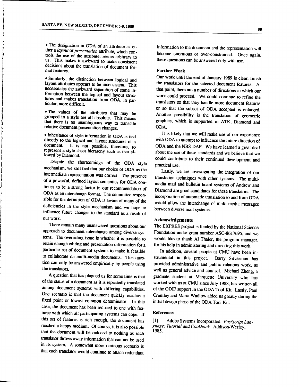• The designation in ODA of an attribute as ei-<br>the state information to the document and the representation will us. This makes it awkward to make consistent these questions can be answered only with use. ecisions about the translation of document form**at features**. **Further W***o***rk**

layout attributes appears to be inconsistent. This necessitates the awkward separation of some inticul**a**r, more difficult.

 $\alpha$  relative document presentation changes.

Despite the shortcomings of the ODA style practical use. mechanism, we still feel that our choice of ODA as the Lastly, we are investigating the integration of our deficiencies in the style mechanism and we ho**p**e to between diverse mail systems. influence fut**u**re changes to the standard as a result of **our work. Acknowledgements** 

There remain many unanswered questions about our The EXPRES project is funded by the National Science retain enough editing and presentation information for a for his help in administering and directing this work. particular set of document systems to make it feasible In addition, several people at CMU have been in-

fixed point or lowest common denominator. In this initial design **p**hase of the ODA Tool Kit. e**a**se, the **d**oc**u**ment has bee**n** red**u**ced to one with **f**eatures with which all participating systems can cope. If References this set of features is rich enough, the document has **[**1] *A*dobe Systems Incorporated. *PostScript Lan*re**a**ched <sup>a</sup> ha**pp**<sup>y</sup> medi**u**m. Of course, it is also possible *guage: Tutorial and Cookbook*. Addison-Wesley, 1985. that the document will be reduced to nothing as each tr**a**nsla**t**or throws away informa**ti**on that c**a**n not be used in its system. A somewhat more ominous scenario is that each translator would con**ti**nue to attach redundant

ther a *layout* or *presentation* attribute, which con-<br>trols the use of the attribute, seems arbitrary to

O**ur w**ork **un**t**i**l the e**nd o**f **J**anuary 1989 i**s** c**l**ear: **fi**n**i**sh • Similarly, the distinction between logical and<br>lavout attributes annears to be inconsistent This the translators for the selected document features. At necessitates the awkward separation of some in-<br>formation between the logical and layout struc-<br>work could proceed. We could continue to refine the **formation between the logical and layout struc-** work could proceed. We could continue to refine the tures and makes translation from ODA, in par-<br> **Formal intervals** and the logical structure of the the boat the boat and translators so that they handle more document features or so that the subset of ODA accepted is enlarged. • The values of the attributes that may be **Another possibility** is the translation of geometric grouped in a style are all absolute. This means graphics, which is supported in ATK, Diamond and that there is no unambiguous way to translate comes of the component of the component of the component of the component of the component of the component of the component of

It is likely that we will m**a**ke use of our experience • Inheritance of style information in ODA is tied with ODA to attempt to influence the future direction of document. It is not possible, therefore, to ODA and the NBS DAP. We have learned a great deal document. It is not possible, therefore, to ODA and the NBS DAP. We have learned a great deal represent a style sheet hierarchy such as that al-<br>about the use of these standards and we believe that we represent a style sheet hierarchy such as that al-<br>lowed by Diamond. could contribute to their continued development and

intermediate representation was correct. The presence translation techniques with other systems. The multi-If a powerful, defined layout semantics for ODA con-<br>
media mail and bulletin board systems of Andrew and<br>  $\frac{1}{2}$ } ti**nu**e**s** t**o** be **a** stro**n**g **f**a**c**tor in **o**ur recommendatio**n of** Diamond are good candidates f**or** these transl**a**tors. The ODA as an interchange format. The committee respon-<br>incorporation of automatic translation to and from ODA sible for the definition of ODA is aware of many of the would allow the interchange of multi-media messages

approach to document interchange among diverse sys-<br>Foundation under grant number ASC-8617695, and we tems. The overriding issue is whether it is possible to would like to thank Al Thaler, the program manager,

to collaborate on multi-media documents. This ques- strumental in this project. B**a**rry Silverman has tion can only be answered em**p**irically by **p**eo**p**le using provided administrative and public rel**a**tions work, as the tra**n**slators**,** wel**l** as general a**d**vice an**d** cou**n**sel. Michae**l Z**heng, a A question that h**a**s **p**lagued us for some time is that graduate st**u**dent at Marquette University who has of the status of a document as it is re**p**eatedly translated worked wi**t**h us at CMU since July 1988, has written all among document systems with differing capabili**ti**es, of the ODIF support in the ODA Tool Kit. Lastly, Paul One scenario is **th**at the document quickly reaches a Crumley and Maria W**a**dlow aided us greatly during the